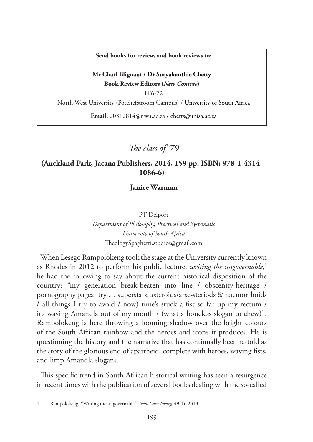#### **Send books for review, and book reviews to:**

#### **Mr Charl Blignaut / Dr Suryakanthie Chetty Book Review Editors (***New Contree***)**

IT6-72 North-West University (Potchefstroom Campus) / University of South Africa

**Email:** 20312814@nwu.ac.za / chetts@unisa.ac.za

*The class of '79*

## **(Auckland Park, Jacana Publishers, 2014, 159 pp. ISBN: 978-1-4314- 1086-6)**

**Janice Warman**

#### PT Delport

*Department of Philosophy, Practical and Systematic University of South Africa* TheologySpaghetti.studios@gmail.com

When Lesego Rampolokeng took the stage at the University currently known as Rhodes in 2012 to perform his public lecture, *writing the ungovernable,*<sup>1</sup> he had the following to say about the current historical disposition of the country: "my generation break-beaten into line / obscenity-heritage / pornography pageantry … superstars, asteroids/arse-steriods & haemorrhoids / all things I try to avoid / now) time's stuck a fist so far up my rectum / it's waving Amandla out of my mouth / (what a boneless slogan to chew)". Rampolokeng is here throwing a looming shadow over the bright colours of the South African rainbow and the heroes and icons it produces. He is questioning the history and the narrative that has continually been re-told as the story of the glorious end of apartheid, complete with heroes, waving fists, and limp Amandla slogans.

This specific trend in South African historical writing has seen a resurgence in recent times with the publication of several books dealing with the so-called

<sup>1</sup> L Rampolokeng, "Writing the ungovernable", *New Coin Poetry,* 49(1), 2013.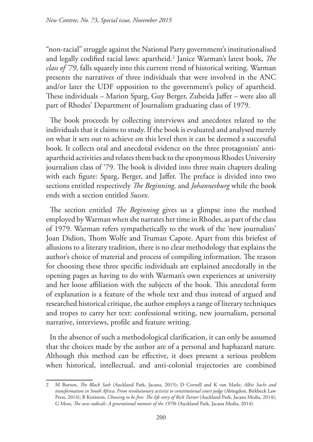"non-racial" struggle against the National Party government's institutionalised and legally codified racial laws: apartheid.2 Janice Warman's latest book, *The class of '79*, falls squarely into this current trend of historical writing. Warman presents the narratives of three individuals that were involved in the ANC and/or later the UDF opposition to the government's policy of apartheid. These individuals – Marion Sparg, Guy Berger, Zubeida Jaffer – were also all part of Rhodes' Department of Journalism graduating class of 1979.

The book proceeds by collecting interviews and anecdotes related to the individuals that it claims to study. If the book is evaluated and analysed merely on what it sets out to achieve on this level then it can be deemed a successful book. It collects oral and anecdotal evidence on the three protagonists' antiapartheid activities and relates them back to the eponymous Rhodes University journalism class of '79. The book is divided into three main chapters dealing with each figure: Sparg, Berger, and Jaffer. The preface is divided into two sections entitled respectively *The Beginning,* and *Johannesburg* while the book ends with a section entitled *Sussex*.

The section entitled *The Beginning* gives us a glimpse into the method employed by Warman when she narrates her time in Rhodes, as part of the class of 1979. Warman refers sympathetically to the work of the 'new journalists' Joan Didion, Thom Wolfe and Truman Capote. Apart from this briefest of allusions to a literary tradition, there is no clear methodology that explains the author's choice of material and process of compiling information. The reason for choosing these three specific individuals are explained anecdotally in the opening pages as having to do with Warman's own experiences at university and her loose affiliation with the subjects of the book. This anecdotal form of explanation is a feature of the whole text and thus instead of argued and researched historical critique, the author employs a range of literary techniques and tropes to carry her text: confessional writing, new journalism, personal narrative, interviews, profile and feature writing.

In the absence of such a methodological clarification, it can only be assumed that the choices made by the author are of a personal and haphazard nature. Although this method can be effective, it does present a serious problem when historical, intellectual, and anti-colonial trajectories are combined

<sup>2</sup> M Burton, *The Black Sash* (Auckland Park, Jacana, 2015); D Cornell and K van Marle, *Albie Sachs and transformation in South Africa: From revolutionary activist to constitutional court judge* (Abingdon, Birkbeck Law Press, 2014); B Keniston, *Choosing to be free: The life story of Rick Turner* (Auckland Park, Jacana Media, 2014); G Moss, *The new radicals: A generational memoir of the 1970s* (Auckland Park, Jacana Media, 2014).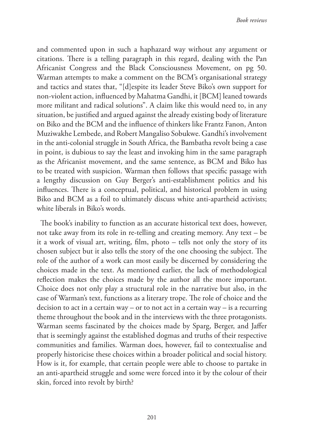and commented upon in such a haphazard way without any argument or citations. There is a telling paragraph in this regard, dealing with the Pan Africanist Congress and the Black Consciousness Movement, on pg 50. Warman attempts to make a comment on the BCM's organisational strategy and tactics and states that, "[d]espite its leader Steve Biko's own support for non-violent action, influenced by Mahatma Gandhi, it [BCM] leaned towards more militant and radical solutions". A claim like this would need to, in any situation, be justified and argued against the already existing body of literature on Biko and the BCM and the influence of thinkers like Frantz Fanon, Anton Muziwakhe Lembede, and Robert Mangaliso Sobukwe. Gandhi's involvement in the anti-colonial struggle in South Africa, the Bambatha revolt being a case in point, is dubious to say the least and invoking him in the same paragraph as the Africanist movement, and the same sentence, as BCM and Biko has to be treated with suspicion. Warman then follows that specific passage with a lengthy discussion on Guy Berger's anti-establishment politics and his influences. There is a conceptual, political, and historical problem in using Biko and BCM as a foil to ultimately discuss white anti-apartheid activists; white liberals in Biko's words.

The book's inability to function as an accurate historical text does, however, not take away from its role in re-telling and creating memory. Any text – be it a work of visual art, writing, film, photo – tells not only the story of its chosen subject but it also tells the story of the one choosing the subject. The role of the author of a work can most easily be discerned by considering the choices made in the text. As mentioned earlier, the lack of methodological reflection makes the choices made by the author all the more important. Choice does not only play a structural role in the narrative but also, in the case of Warman's text, functions as a literary trope. The role of choice and the decision to act in a certain way – or to not act in a certain way – is a recurring theme throughout the book and in the interviews with the three protagonists. Warman seems fascinated by the choices made by Sparg, Berger, and Jaffer that is seemingly against the established dogmas and truths of their respective communities and families. Warman does, however, fail to contextualise and properly historicise these choices within a broader political and social history. How is it, for example, that certain people were able to choose to partake in an anti-apartheid struggle and some were forced into it by the colour of their skin, forced into revolt by birth?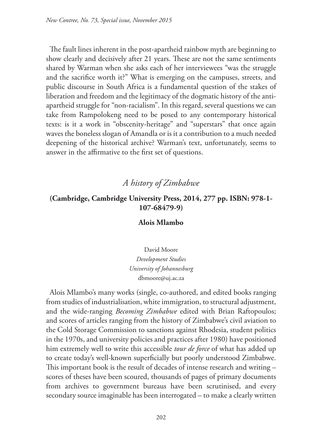The fault lines inherent in the post-apartheid rainbow myth are beginning to show clearly and decisively after 21 years. These are not the same sentiments shared by Warman when she asks each of her interviewees "was the struggle and the sacrifice worth it?" What is emerging on the campuses, streets, and public discourse in South Africa is a fundamental question of the stakes of liberation and freedom and the legitimacy of the dogmatic history of the antiapartheid struggle for "non-racialism". In this regard, several questions we can take from Rampolokeng need to be posed to any contemporary historical texts: is it a work in "obscenity-heritage" and "superstars" that once again waves the boneless slogan of Amandla or is it a contribution to a much needed deepening of the historical archive? Warman's text, unfortunately, seems to answer in the affirmative to the first set of questions.

# *A history of Zimbabwe*

## **(Cambridge, Cambridge University Press, 2014, 277 pp. ISBN: 978-1- 107-68479-9)**

#### **Alois Mlambo**

David Moore *Development Studies University of Johannesburg* dbmoore@uj.ac.za

Alois Mlambo's many works (single, co-authored, and edited books ranging from studies of industrialisation, white immigration, to structural adjustment, and the wide-ranging *Becoming Zimbabwe* edited with Brian Raftopoulos; and scores of articles ranging from the history of Zimbabwe's civil aviation to the Cold Storage Commission to sanctions against Rhodesia, student politics in the 1970s, and university policies and practices after 1980) have positioned him extremely well to write this accessible *tour de force* of what has added up to create today's well-known superficially but poorly understood Zimbabwe. This important book is the result of decades of intense research and writing – scores of theses have been scoured, thousands of pages of primary documents from archives to government bureaus have been scrutinised, and every secondary source imaginable has been interrogated – to make a clearly written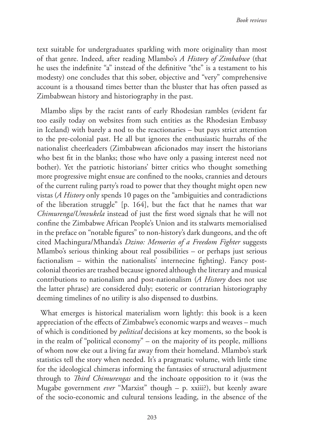text suitable for undergraduates sparkling with more originality than most of that genre. Indeed, after reading Mlambo's *A History of Zimbabwe* (that he uses the indefinite "a" instead of the definitive "the" is a testament to his modesty) one concludes that this sober, objective and "very" comprehensive account is a thousand times better than the bluster that has often passed as Zimbabwean history and historiography in the past.

Mlambo slips by the racist rants of early Rhodesian rambles (evident far too easily today on websites from such entities as the Rhodesian Embassy in Iceland) with barely a nod to the reactionaries – but pays strict attention to the pre-colonial past. He all but ignores the enthusiastic hurrahs of the nationalist cheerleaders (Zimbabwean aficionados may insert the historians who best fit in the blanks; those who have only a passing interest need not bother). Yet the patriotic historians' bitter critics who thought something more progressive might ensue are confined to the nooks, crannies and detours of the current ruling party's road to power that they thought might open new vistas (*A History* only spends 10 pages on the "ambiguities and contradictions of the liberation struggle" [p. 164], but the fact that he names that war *Chimurenga/Umvukela* instead of just the first word signals that he will not confine the Zimbabwe African People's Union and its stalwarts memorialised in the preface on "notable figures" to non-history's dark dungeons, and the oft cited Machingura/Mhanda's *Dzino: Memories of a Freedom Fighter* suggests Mlambo's serious thinking about real possibilities – or perhaps just serious factionalism – within the nationalists' internecine fighting). Fancy postcolonial theories are trashed because ignored although the literary and musical contributions to nationalism and post-nationalism (*A History* does not use the latter phrase) are considered duly; esoteric or contrarian historiography deeming timelines of no utility is also dispensed to dustbins.

What emerges is historical materialism worn lightly: this book is a keen appreciation of the effects of Zimbabwe's economic warps and weaves – much of which is conditioned by *political* decisions at key moments, so the book is in the realm of "political economy" – on the majority of its people, millions of whom now eke out a living far away from their homeland. Mlambo's stark statistics tell the story when needed. It's a pragmatic volume, with little time for the ideological chimeras informing the fantasies of structural adjustment through to *Third Chimurengas* and the inchoate opposition to it (was the Mugabe government *ever* "Marxist" though – p. xxiii?), but keenly aware of the socio-economic and cultural tensions leading, in the absence of the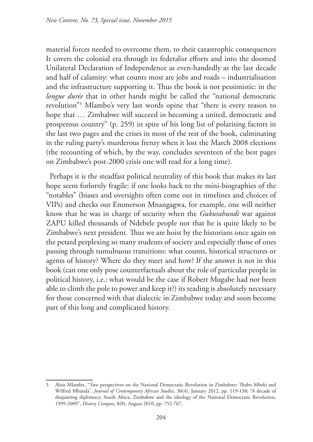material forces needed to overcome them, to their catastrophic consequences It covers the colonial era through its federalist efforts and into the doomed Unilateral Declaration of Independence as even-handedly as the last decade and half of calamity: what counts most are jobs and roads – industrialisation and the infrastructure supporting it. Thus the book is not pessimistic: in the *longue durée* that in other hands might be called the "national democratic revolution"3 Mlambo's very last words opine that "there is every reason to hope that … Zimbabwe will succeed in becoming a united, democratic and prosperous country" (p. 259) in spite of his long list of polarising factors in the last two pages and the crises in most of the rest of the book, culminating in the ruling party's murderous frenzy when it lost the March 2008 elections (the recounting of which, by the way, concludes seventeen of the best pages on Zimbabwe's post-2000 crisis one will read for a long time).

Perhaps it is the steadfast political neutrality of this book that makes its last hope seem forlornly fragile: if one looks back to the mini-biographies of the "notables" (biases and oversights often come out in timelines and choices of VIPs) and checks out Emmerson Mnangagwa, for example, one will neither know that he was in charge of security when the *Gukurahundi* war against ZAPU killed thousands of Ndebele people nor that he is quite likely to be Zimbabwe's next president. Thus we are hoist by the historians once again on the petard perplexing so many students of society and especially those of ones passing through tumultuous transitions: what counts, historical structures or agents of history? Where do they meet and how? If the answer is not in this book (can one only pose counterfactuals about the role of particular people in political history, i.e.: what would be the case if Robert Mugabe had not been able to climb the pole to power and keep it?) its reading is absolutely necessary for those concerned with that dialectic in Zimbabwe today and soon become part of this long and complicated history.

<sup>3</sup> Alois Mlambo, "Two perspectives on the National Democratic Revolution in Zimbabwe: Thabo Mbeki and Wilfred Mhanda", *Journal of Contemporary African Studies*, 30(4), January 2012, pp. 119-138; "A decade of disquieting diplomacy: South Africa, Zimbabwe and the ideology of the National Democratic Revolution, 1999-2009", *History Compass*, 8(8), August 2010, pp. 752-767.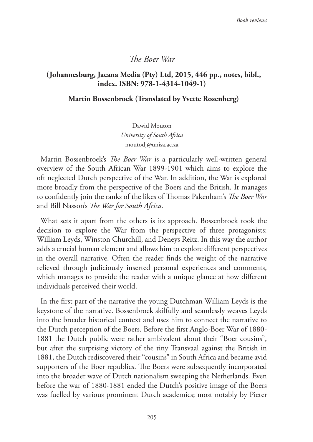#### *The Boer War*

### **(Johannesburg, Jacana Media (Pty) Ltd, 2015, 446 pp., notes, bibl., index. ISBN: 978-1-4314-1049-1)**

#### **Martin Bossenbroek (Translated by Yvette Rosenberg)**

Dawid Mouton *University of South Africa* moutodj@unisa.ac.za

Martin Bossenbroek's *The Boer War* is a particularly well-written general overview of the South African War 1899-1901 which aims to explore the oft neglected Dutch perspective of the War. In addition, the War is explored more broadly from the perspective of the Boers and the British. It manages to confidently join the ranks of the likes of Thomas Pakenham's *The Boer War* and Bill Nasson's *The War for South Africa*.

What sets it apart from the others is its approach. Bossenbroek took the decision to explore the War from the perspective of three protagonists: William Leyds, Winston Churchill, and Deneys Reitz. In this way the author adds a crucial human element and allows him to explore different perspectives in the overall narrative. Often the reader finds the weight of the narrative relieved through judiciously inserted personal experiences and comments, which manages to provide the reader with a unique glance at how different individuals perceived their world.

In the first part of the narrative the young Dutchman William Leyds is the keystone of the narrative. Bossenbroek skilfully and seamlessly weaves Leyds into the broader historical context and uses him to connect the narrative to the Dutch perception of the Boers. Before the first Anglo-Boer War of 1880- 1881 the Dutch public were rather ambivalent about their "Boer cousins", but after the surprising victory of the tiny Transvaal against the British in 1881, the Dutch rediscovered their "cousins" in South Africa and became avid supporters of the Boer republics. The Boers were subsequently incorporated into the broader wave of Dutch nationalism sweeping the Netherlands. Even before the war of 1880-1881 ended the Dutch's positive image of the Boers was fuelled by various prominent Dutch academics; most notably by Pieter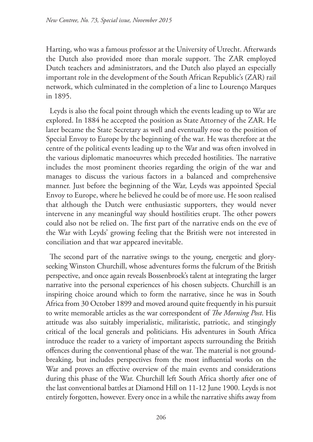Harting, who was a famous professor at the University of Utrecht. Afterwards the Dutch also provided more than morale support. The ZAR employed Dutch teachers and administrators, and the Dutch also played an especially important role in the development of the South African Republic's (ZAR) rail network, which culminated in the completion of a line to Lourenço Marques in 1895.

Leyds is also the focal point through which the events leading up to War are explored. In 1884 he accepted the position as State Attorney of the ZAR. He later became the State Secretary as well and eventually rose to the position of Special Envoy to Europe by the beginning of the war. He was therefore at the centre of the political events leading up to the War and was often involved in the various diplomatic manoeuvres which preceded hostilities. The narrative includes the most prominent theories regarding the origin of the war and manages to discuss the various factors in a balanced and comprehensive manner. Just before the beginning of the War, Leyds was appointed Special Envoy to Europe, where he believed he could be of more use. He soon realised that although the Dutch were enthusiastic supporters, they would never intervene in any meaningful way should hostilities erupt. The other powers could also not be relied on. The first part of the narrative ends on the eve of the War with Leyds' growing feeling that the British were not interested in conciliation and that war appeared inevitable.

The second part of the narrative swings to the young, energetic and gloryseeking Winston Churchill, whose adventures forms the fulcrum of the British perspective, and once again reveals Bossenbroek's talent at integrating the larger narrative into the personal experiences of his chosen subjects. Churchill is an inspiring choice around which to form the narrative, since he was in South Africa from 30 October 1899 and moved around quite frequently in his pursuit to write memorable articles as the war correspondent of *The Morning Post*. His attitude was also suitably imperialistic, militaristic, patriotic, and stingingly critical of the local generals and politicians. His adventures in South Africa introduce the reader to a variety of important aspects surrounding the British offences during the conventional phase of the war. The material is not groundbreaking, but includes perspectives from the most influential works on the War and proves an effective overview of the main events and considerations during this phase of the War. Churchill left South Africa shortly after one of the last conventional battles at Diamond Hill on 11-12 June 1900. Leyds is not entirely forgotten, however. Every once in a while the narrative shifts away from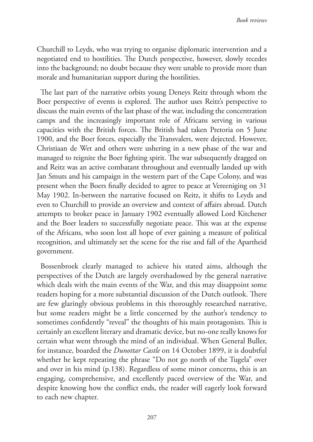Churchill to Leyds, who was trying to organise diplomatic intervention and a negotiated end to hostilities. The Dutch perspective, however, slowly recedes into the background; no doubt because they were unable to provide more than morale and humanitarian support during the hostilities.

The last part of the narrative orbits young Deneys Reitz through whom the Boer perspective of events is explored. The author uses Reitz's perspective to discuss the main events of the last phase of the war, including the concentration camps and the increasingly important role of Africans serving in various capacities with the British forces. The British had taken Pretoria on 5 June 1900, and the Boer forces, especially the Transvalers, were dejected. However, Christiaan de Wet and others were ushering in a new phase of the war and managed to reignite the Boer fighting spirit. The war subsequently dragged on and Reitz was an active combatant throughout and eventually landed up with Jan Smuts and his campaign in the western part of the Cape Colony, and was present when the Boers finally decided to agree to peace at Vereeniging on 31 May 1902. In-between the narrative focused on Reitz, it shifts to Leyds and even to Churchill to provide an overview and context of affairs abroad. Dutch attempts to broker peace in January 1902 eventually allowed Lord Kitchener and the Boer leaders to successfully negotiate peace. This was at the expense of the Africans, who soon lost all hope of ever gaining a measure of political recognition, and ultimately set the scene for the rise and fall of the Apartheid government.

Bossenbroek clearly managed to achieve his stated aims, although the perspectives of the Dutch are largely overshadowed by the general narrative which deals with the main events of the War, and this may disappoint some readers hoping for a more substantial discussion of the Dutch outlook. There are few glaringly obvious problems in this thoroughly researched narrative, but some readers might be a little concerned by the author's tendency to sometimes confidently "reveal" the thoughts of his main protagonists. This is certainly an excellent literary and dramatic device, but no-one really knows for certain what went through the mind of an individual. When General Buller, for instance, boarded the *Dunottar Castle* on 14 October 1899, it is doubtful whether he kept repeating the phrase "Do not go north of the Tugela" over and over in his mind (p.138). Regardless of some minor concerns, this is an engaging, comprehensive, and excellently paced overview of the War, and despite knowing how the conflict ends, the reader will eagerly look forward to each new chapter.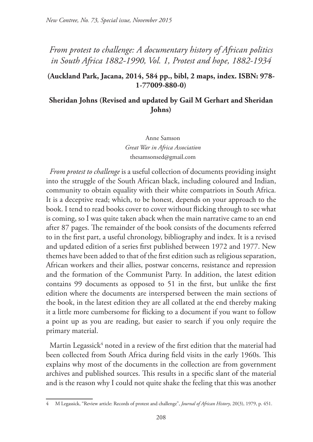# *From protest to challenge: A documentary history of African politics in South Africa 1882-1990, Vol. 1, Protest and hope, 1882-1934*

### **(Auckland Park, Jacana, 2014, 584 pp., bibl, 2 maps, index. ISBN: 978- 1-77009-880-0)**

## **Sheridan Johns (Revised and updated by Gail M Gerhart and Sheridan Johns)**

Anne Samson *Great War in Africa Association* thesamsonsed@gmail.com

*From protest to challenge* is a useful collection of documents providing insight into the struggle of the South African black, including coloured and Indian, community to obtain equality with their white compatriots in South Africa. It is a deceptive read; which, to be honest, depends on your approach to the book. I tend to read books cover to cover without flicking through to see what is coming, so I was quite taken aback when the main narrative came to an end after 87 pages. The remainder of the book consists of the documents referred to in the first part, a useful chronology, bibliography and index. It is a revised and updated edition of a series first published between 1972 and 1977. New themes have been added to that of the first edition such as religious separation, African workers and their allies, postwar concerns, resistance and repression and the formation of the Communist Party. In addition, the latest edition contains 99 documents as opposed to 51 in the first, but unlike the first edition where the documents are interspersed between the main sections of the book, in the latest edition they are all collated at the end thereby making it a little more cumbersome for flicking to a document if you want to follow a point up as you are reading, but easier to search if you only require the primary material.

Martin Legassick $4$  noted in a review of the first edition that the material had been collected from South Africa during field visits in the early 1960s. This explains why most of the documents in the collection are from government archives and published sources. This results in a specific slant of the material and is the reason why I could not quite shake the feeling that this was another

<sup>4</sup> M Legassick, "Review article: Records of protest and challenge", *Journal of African History*, 20(3), 1979, p. 451.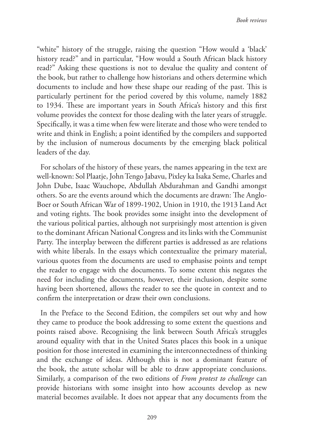"white" history of the struggle, raising the question "How would a 'black' history read?" and in particular, "How would a South African black history read?" Asking these questions is not to devalue the quality and content of the book, but rather to challenge how historians and others determine which documents to include and how these shape our reading of the past. This is particularly pertinent for the period covered by this volume, namely 1882 to 1934. These are important years in South Africa's history and this first volume provides the context for those dealing with the later years of struggle. Specifically, it was a time when few were literate and those who were tended to write and think in English; a point identified by the compilers and supported by the inclusion of numerous documents by the emerging black political leaders of the day.

For scholars of the history of these years, the names appearing in the text are well-known: Sol Plaatje, John Tengo Jabavu, Pixley ka Isaka Seme, Charles and John Dube, Isaac Wauchope, Abdullah Abdurahman and Gandhi amongst others. So are the events around which the documents are drawn: The Anglo-Boer or South African War of 1899-1902, Union in 1910, the 1913 Land Act and voting rights. The book provides some insight into the development of the various political parties, although not surprisingly most attention is given to the dominant African National Congress and its links with the Communist Party. The interplay between the different parties is addressed as are relations with white liberals. In the essays which contextualize the primary material, various quotes from the documents are used to emphasise points and tempt the reader to engage with the documents. To some extent this negates the need for including the documents, however, their inclusion, despite some having been shortened, allows the reader to see the quote in context and to confirm the interpretation or draw their own conclusions.

In the Preface to the Second Edition, the compilers set out why and how they came to produce the book addressing to some extent the questions and points raised above. Recognising the link between South Africa's struggles around equality with that in the United States places this book in a unique position for those interested in examining the interconnectedness of thinking and the exchange of ideas. Although this is not a dominant feature of the book, the astute scholar will be able to draw appropriate conclusions. Similarly, a comparison of the two editions of *From protest to challenge* can provide historians with some insight into how accounts develop as new material becomes available. It does not appear that any documents from the